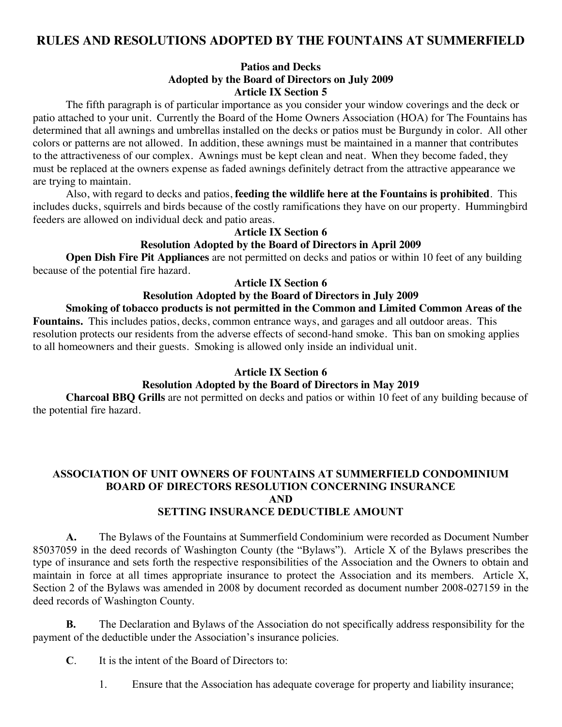# **RULES AND RESOLUTIONS ADOPTED BY THE FOUNTAINS AT SUMMERFIELD**

#### **Patios and Decks Adopted by the Board of Directors on July 2009 Article IX Section 5**

The fifth paragraph is of particular importance as you consider your window coverings and the deck or patio attached to your unit. Currently the Board of the Home Owners Association (HOA) for The Fountains has determined that all awnings and umbrellas installed on the decks or patios must be Burgundy in color. All other colors or patterns are not allowed. In addition, these awnings must be maintained in a manner that contributes to the attractiveness of our complex. Awnings must be kept clean and neat. When they become faded, they must be replaced at the owners expense as faded awnings definitely detract from the attractive appearance we are trying to maintain.

Also, with regard to decks and patios, **feeding the wildlife here at the Fountains is prohibited**. This includes ducks, squirrels and birds because of the costly ramifications they have on our property. Hummingbird feeders are allowed on individual deck and patio areas.

#### **Article IX Section 6**

#### **Resolution Adopted by the Board of Directors in April 2009**

**Open Dish Fire Pit Appliances** are not permitted on decks and patios or within 10 feet of any building because of the potential fire hazard.

#### **Article IX Section 6**

#### **Resolution Adopted by the Board of Directors in July 2009**

### **Smoking of tobacco products is not permitted in the Common and Limited Common Areas of the**

**Fountains.** This includes patios, decks, common entrance ways, and garages and all outdoor areas. This resolution protects our residents from the adverse effects of second-hand smoke. This ban on smoking applies to all homeowners and their guests. Smoking is allowed only inside an individual unit.

#### **Article IX Section 6**

#### **Resolution Adopted by the Board of Directors in May 2019**

**Charcoal BBQ Grills** are not permitted on decks and patios or within 10 feet of any building because of the potential fire hazard.

#### **ASSOCIATION OF UNIT OWNERS OF FOUNTAINS AT SUMMERFIELD CONDOMINIUM BOARD OF DIRECTORS RESOLUTION CONCERNING INSURANCE AND SETTING INSURANCE DEDUCTIBLE AMOUNT**

## **A.** The Bylaws of the Fountains at Summerfield Condominium were recorded as Document Number 85037059 in the deed records of Washington County (the "Bylaws"). Article X of the Bylaws prescribes the type of insurance and sets forth the respective responsibilities of the Association and the Owners to obtain and maintain in force at all times appropriate insurance to protect the Association and its members. Article X, Section 2 of the Bylaws was amended in 2008 by document recorded as document number 2008-027159 in the deed records of Washington County.

**B.** The Declaration and Bylaws of the Association do not specifically address responsibility for the payment of the deductible under the Association's insurance policies.

**C**. It is the intent of the Board of Directors to:

1. Ensure that the Association has adequate coverage for property and liability insurance;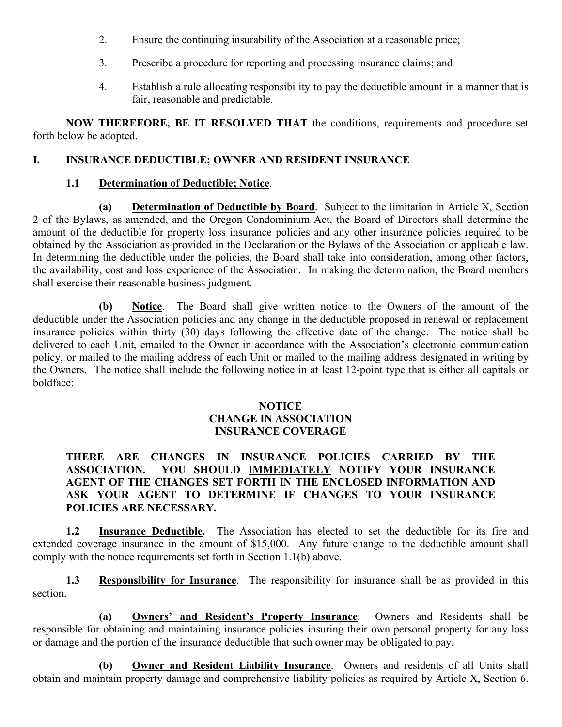- 2. Ensure the continuing insurability of the Association at a reasonable price;
- 3. Prescribe a procedure for reporting and processing insurance claims; and
- 4. Establish a rule allocating responsibility to pay the deductible amount in a manner that is fair, reasonable and predictable.

**NOW THEREFORE, BE IT RESOLVED THAT** the conditions, requirements and procedure set forth below be adopted.

## **I. INSURANCE DEDUCTIBLE; OWNER AND RESIDENT INSURANCE**

## **1.1 Determination of Deductible; Notice**.

**(a) Determination of Deductible by Board**. Subject to the limitation in Article X, Section 2 of the Bylaws, as amended, and the Oregon Condominium Act, the Board of Directors shall determine the amount of the deductible for property loss insurance policies and any other insurance policies required to be obtained by the Association as provided in the Declaration or the Bylaws of the Association or applicable law. In determining the deductible under the policies, the Board shall take into consideration, among other factors, the availability, cost and loss experience of the Association. In making the determination, the Board members shall exercise their reasonable business judgment.

**(b) Notice**. The Board shall give written notice to the Owners of the amount of the deductible under the Association policies and any change in the deductible proposed in renewal or replacement insurance policies within thirty (30) days following the effective date of the change. The notice shall be delivered to each Unit, emailed to the Owner in accordance with the Association's electronic communication policy, or mailed to the mailing address of each Unit or mailed to the mailing address designated in writing by the Owners. The notice shall include the following notice in at least 12-point type that is either all capitals or boldface:

### **NOTICE CHANGE IN ASSOCIATION INSURANCE COVERAGE**

## **THERE ARE CHANGES IN INSURANCE POLICIES CARRIED BY THE ASSOCIATION. YOU SHOULD IMMEDIATELY NOTIFY YOUR INSURANCE AGENT OF THE CHANGES SET FORTH IN THE ENCLOSED INFORMATION AND ASK YOUR AGENT TO DETERMINE IF CHANGES TO YOUR INSURANCE POLICIES ARE NECESSARY.**

**1.2 Insurance Deductible.** The Association has elected to set the deductible for its fire and extended coverage insurance in the amount of \$15,000. Any future change to the deductible amount shall comply with the notice requirements set forth in Section 1.1(b) above.

**1.3 Responsibility for Insurance**. The responsibility for insurance shall be as provided in this section.

**(a) Owners' and Resident's Property Insurance**. Owners and Residents shall be responsible for obtaining and maintaining insurance policies insuring their own personal property for any loss or damage and the portion of the insurance deductible that such owner may be obligated to pay.

**(b) Owner and Resident Liability Insurance**. Owners and residents of all Units shall obtain and maintain property damage and comprehensive liability policies as required by Article X, Section 6.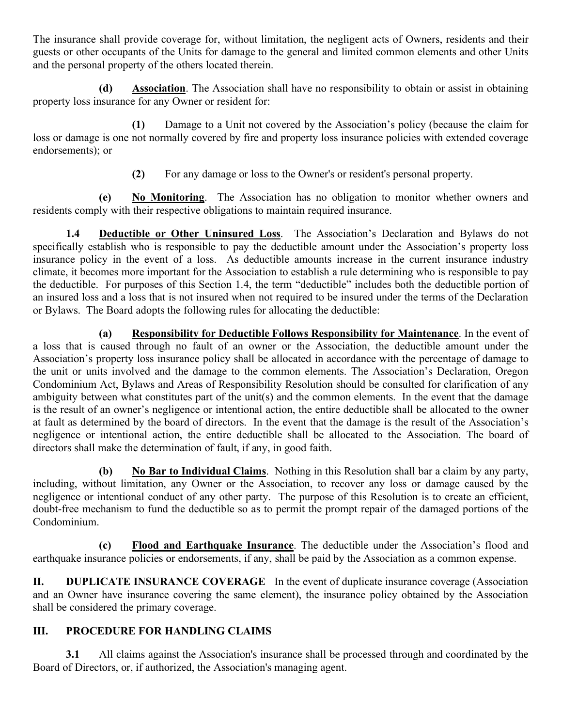The insurance shall provide coverage for, without limitation, the negligent acts of Owners, residents and their guests or other occupants of the Units for damage to the general and limited common elements and other Units and the personal property of the others located therein.

**(d) Association**. The Association shall have no responsibility to obtain or assist in obtaining property loss insurance for any Owner or resident for:

**(1)** Damage to a Unit not covered by the Association's policy (because the claim for loss or damage is one not normally covered by fire and property loss insurance policies with extended coverage endorsements); or

**(2)** For any damage or loss to the Owner's or resident's personal property.

**(e) No Monitoring**. The Association has no obligation to monitor whether owners and residents comply with their respective obligations to maintain required insurance.

**1.4 Deductible or Other Uninsured Loss**. The Association's Declaration and Bylaws do not specifically establish who is responsible to pay the deductible amount under the Association's property loss insurance policy in the event of a loss. As deductible amounts increase in the current insurance industry climate, it becomes more important for the Association to establish a rule determining who is responsible to pay the deductible. For purposes of this Section 1.4, the term "deductible" includes both the deductible portion of an insured loss and a loss that is not insured when not required to be insured under the terms of the Declaration or Bylaws. The Board adopts the following rules for allocating the deductible:

**(a) Responsibility for Deductible Follows Responsibility for Maintenance**. In the event of a loss that is caused through no fault of an owner or the Association, the deductible amount under the Association's property loss insurance policy shall be allocated in accordance with the percentage of damage to the unit or units involved and the damage to the common elements. The Association's Declaration, Oregon Condominium Act, Bylaws and Areas of Responsibility Resolution should be consulted for clarification of any ambiguity between what constitutes part of the unit(s) and the common elements. In the event that the damage is the result of an owner's negligence or intentional action, the entire deductible shall be allocated to the owner at fault as determined by the board of directors. In the event that the damage is the result of the Association's negligence or intentional action, the entire deductible shall be allocated to the Association. The board of directors shall make the determination of fault, if any, in good faith.

**(b) No Bar to Individual Claims**. Nothing in this Resolution shall bar a claim by any party, including, without limitation, any Owner or the Association, to recover any loss or damage caused by the negligence or intentional conduct of any other party. The purpose of this Resolution is to create an efficient, doubt-free mechanism to fund the deductible so as to permit the prompt repair of the damaged portions of the Condominium.

**(c) Flood and Earthquake Insurance**. The deductible under the Association's flood and earthquake insurance policies or endorsements, if any, shall be paid by the Association as a common expense.

**II. DUPLICATE INSURANCE COVERAGE** In the event of duplicate insurance coverage (Association and an Owner have insurance covering the same element), the insurance policy obtained by the Association shall be considered the primary coverage.

# **III. PROCEDURE FOR HANDLING CLAIMS**

**3.1** All claims against the Association's insurance shall be processed through and coordinated by the Board of Directors, or, if authorized, the Association's managing agent.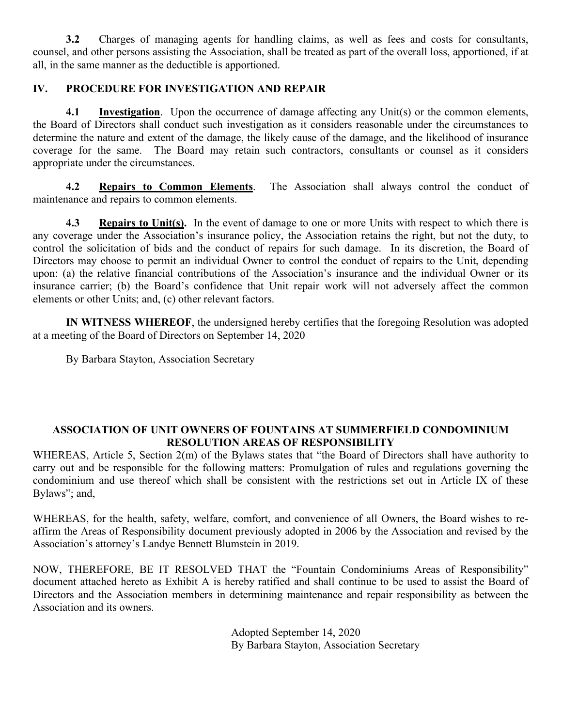**3.2** Charges of managing agents for handling claims, as well as fees and costs for consultants, counsel, and other persons assisting the Association, shall be treated as part of the overall loss, apportioned, if at all, in the same manner as the deductible is apportioned.

## **IV. PROCEDURE FOR INVESTIGATION AND REPAIR**

**4.1 Investigation**. Upon the occurrence of damage affecting any Unit(s) or the common elements, the Board of Directors shall conduct such investigation as it considers reasonable under the circumstances to determine the nature and extent of the damage, the likely cause of the damage, and the likelihood of insurance coverage for the same. The Board may retain such contractors, consultants or counsel as it considers appropriate under the circumstances.

**4.2 Repairs to Common Elements**. The Association shall always control the conduct of maintenance and repairs to common elements.

**4.3 Repairs to Unit(s).** In the event of damage to one or more Units with respect to which there is any coverage under the Association's insurance policy, the Association retains the right, but not the duty, to control the solicitation of bids and the conduct of repairs for such damage. In its discretion, the Board of Directors may choose to permit an individual Owner to control the conduct of repairs to the Unit, depending upon: (a) the relative financial contributions of the Association's insurance and the individual Owner or its insurance carrier; (b) the Board's confidence that Unit repair work will not adversely affect the common elements or other Units; and, (c) other relevant factors.

**IN WITNESS WHEREOF**, the undersigned hereby certifies that the foregoing Resolution was adopted at a meeting of the Board of Directors on September 14, 2020

By Barbara Stayton, Association Secretary

## **ASSOCIATION OF UNIT OWNERS OF FOUNTAINS AT SUMMERFIELD CONDOMINIUM RESOLUTION AREAS OF RESPONSIBILITY**

WHEREAS, Article 5, Section 2(m) of the Bylaws states that "the Board of Directors shall have authority to carry out and be responsible for the following matters: Promulgation of rules and regulations governing the condominium and use thereof which shall be consistent with the restrictions set out in Article IX of these Bylaws"; and,

WHEREAS, for the health, safety, welfare, comfort, and convenience of all Owners, the Board wishes to reaffirm the Areas of Responsibility document previously adopted in 2006 by the Association and revised by the Association's attorney's Landye Bennett Blumstein in 2019.

NOW, THEREFORE, BE IT RESOLVED THAT the "Fountain Condominiums Areas of Responsibility" document attached hereto as Exhibit A is hereby ratified and shall continue to be used to assist the Board of Directors and the Association members in determining maintenance and repair responsibility as between the Association and its owners.

> Adopted September 14, 2020 By Barbara Stayton, Association Secretary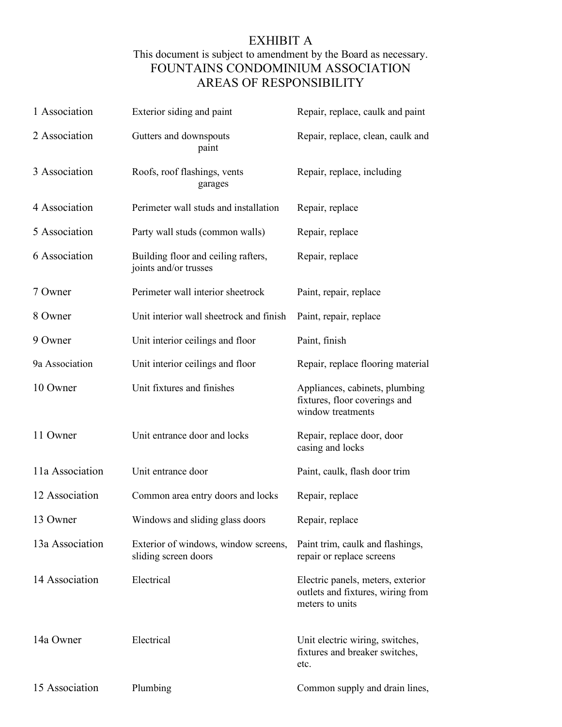# EXHIBIT A This document is subject to amendment by the Board as necessary. FOUNTAINS CONDOMINIUM ASSOCIATION AREAS OF RESPONSIBILITY

| 1 Association   | Exterior siding and paint                                    | Repair, replace, caulk and paint                                                          |
|-----------------|--------------------------------------------------------------|-------------------------------------------------------------------------------------------|
| 2 Association   | Gutters and downspouts<br>paint                              | Repair, replace, clean, caulk and                                                         |
| 3 Association   | Roofs, roof flashings, vents<br>garages                      | Repair, replace, including                                                                |
| 4 Association   | Perimeter wall studs and installation                        | Repair, replace                                                                           |
| 5 Association   | Party wall studs (common walls)                              | Repair, replace                                                                           |
| 6 Association   | Building floor and ceiling rafters,<br>joints and/or trusses | Repair, replace                                                                           |
| 7 Owner         | Perimeter wall interior sheetrock                            | Paint, repair, replace                                                                    |
| 8 Owner         | Unit interior wall sheetrock and finish                      | Paint, repair, replace                                                                    |
| 9 Owner         | Unit interior ceilings and floor                             | Paint, finish                                                                             |
| 9a Association  | Unit interior ceilings and floor                             | Repair, replace flooring material                                                         |
| 10 Owner        | Unit fixtures and finishes                                   | Appliances, cabinets, plumbing<br>fixtures, floor coverings and<br>window treatments      |
| 11 Owner        | Unit entrance door and locks                                 | Repair, replace door, door<br>casing and locks                                            |
| 11a Association | Unit entrance door                                           | Paint, caulk, flash door trim                                                             |
| 12 Association  | Common area entry doors and locks                            | Repair, replace                                                                           |
| 13 Owner        | Windows and sliding glass doors                              | Repair, replace                                                                           |
| 13a Association | Exterior of windows, window screens,<br>sliding screen doors | Paint trim, caulk and flashings,<br>repair or replace screens                             |
| 14 Association  | Electrical                                                   | Electric panels, meters, exterior<br>outlets and fixtures, wiring from<br>meters to units |
| 14a Owner       | Electrical                                                   | Unit electric wiring, switches,<br>fixtures and breaker switches,<br>etc.                 |
| 15 Association  | Plumbing                                                     | Common supply and drain lines,                                                            |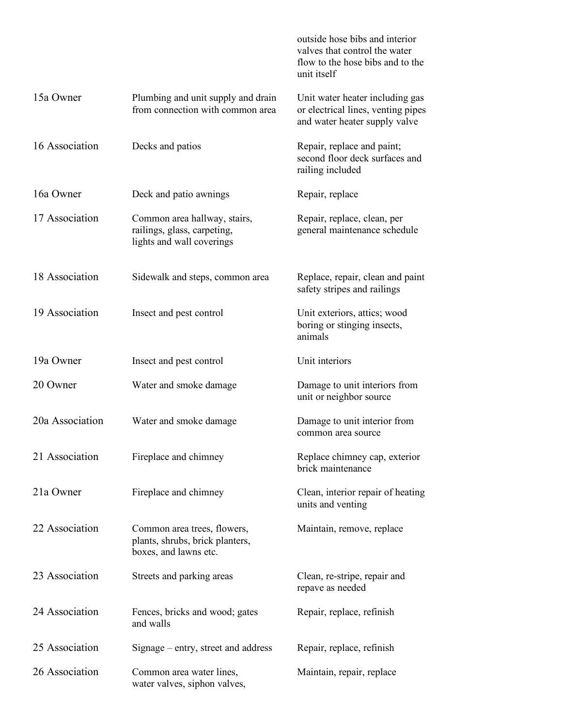|                 |                                                                                          | outside hose bibs and interior<br>valves that control the water<br>flow to the hose bibs and to the<br>unit itself |
|-----------------|------------------------------------------------------------------------------------------|--------------------------------------------------------------------------------------------------------------------|
| 15a Owner       | Plumbing and unit supply and drain<br>from connection with common area                   | Unit water heater including gas<br>or electrical lines, venting pipes<br>and water heater supply valve             |
| 16 Association  | Decks and patios                                                                         | Repair, replace and paint;<br>second floor deck surfaces and<br>railing included                                   |
| 16a Owner       | Deck and patio awnings                                                                   | Repair, replace                                                                                                    |
| 17 Association  | Common area hallway, stairs,<br>railings, glass, carpeting,<br>lights and wall coverings | Repair, replace, clean, per<br>general maintenance schedule                                                        |
| 18 Association  | Sidewalk and steps, common area                                                          | Replace, repair, clean and paint<br>safety stripes and railings                                                    |
| 19 Association  | Insect and pest control                                                                  | Unit exteriors, attics; wood<br>boring or stinging insects,<br>animals                                             |
| 19a Owner       | Insect and pest control                                                                  | Unit interiors                                                                                                     |
| 20 Owner        | Water and smoke damage                                                                   | Damage to unit interiors from<br>unit or neighbor source                                                           |
| 20a Association | Water and smoke damage                                                                   | Damage to unit interior from<br>common area source                                                                 |
| 21 Association  | Fireplace and chimney                                                                    | Replace chimney cap, exterior<br>brick maintenance                                                                 |
| 21a Owner       | Fireplace and chimney                                                                    | Clean, interior repair of heating<br>units and venting                                                             |
| 22 Association  | Common area trees, flowers,<br>plants, shrubs, brick planters,<br>boxes, and lawns etc.  | Maintain, remove, replace                                                                                          |
| 23 Association  | Streets and parking areas                                                                | Clean, re-stripe, repair and<br>repave as needed                                                                   |
| 24 Association  | Fences, bricks and wood; gates<br>and walls                                              | Repair, replace, refinish                                                                                          |
| 25 Association  | Signage – entry, street and address                                                      | Repair, replace, refinish                                                                                          |
| 26 Association  | Common area water lines,<br>water valves, siphon valves,                                 | Maintain, repair, replace                                                                                          |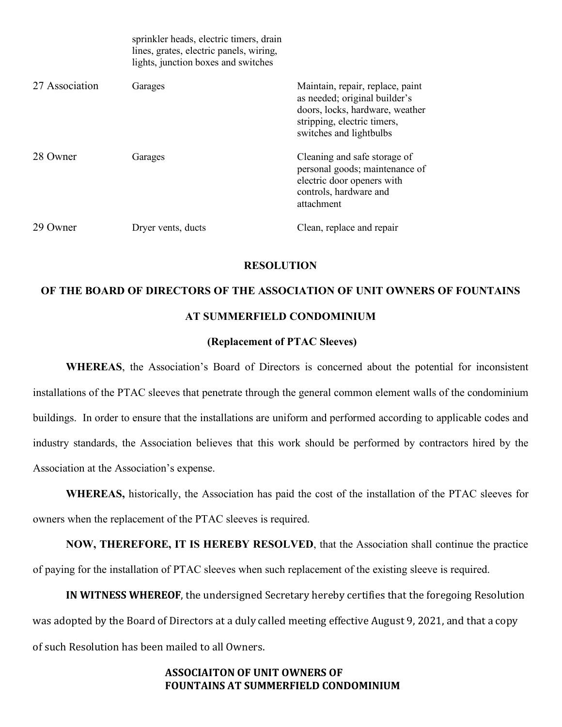|                | sprinkler heads, electric timers, drain<br>lines, grates, electric panels, wiring,<br>lights, junction boxes and switches |                                                                                                                                                                |
|----------------|---------------------------------------------------------------------------------------------------------------------------|----------------------------------------------------------------------------------------------------------------------------------------------------------------|
| 27 Association | Garages                                                                                                                   | Maintain, repair, replace, paint<br>as needed; original builder's<br>doors, locks, hardware, weather<br>stripping, electric timers,<br>switches and lightbulbs |
| 28 Owner       | Garages                                                                                                                   | Cleaning and safe storage of<br>personal goods; maintenance of<br>electric door openers with<br>controls, hardware and<br>attachment                           |
| 29 Owner       | Dryer vents, ducts                                                                                                        | Clean, replace and repair                                                                                                                                      |

#### **RESOLUTION**

# **OF THE BOARD OF DIRECTORS OF THE ASSOCIATION OF UNIT OWNERS OF FOUNTAINS AT SUMMERFIELD CONDOMINIUM**

#### **(Replacement of PTAC Sleeves)**

**WHEREAS**, the Association's Board of Directors is concerned about the potential for inconsistent installations of the PTAC sleeves that penetrate through the general common element walls of the condominium buildings. In order to ensure that the installations are uniform and performed according to applicable codes and industry standards, the Association believes that this work should be performed by contractors hired by the Association at the Association's expense.

**WHEREAS,** historically, the Association has paid the cost of the installation of the PTAC sleeves for owners when the replacement of the PTAC sleeves is required.

**NOW, THEREFORE, IT IS HEREBY RESOLVED**, that the Association shall continue the practice of paying for the installation of PTAC sleeves when such replacement of the existing sleeve is required.

**IN WITNESS WHEREOF**, the undersigned Secretary hereby certifies that the foregoing Resolution was adopted by the Board of Directors at a duly called meeting effective August 9, 2021, and that a copy of such Resolution has been mailed to all Owners.

### **ASSOCIAITON OF UNIT OWNERS OF FOUNTAINS AT SUMMERFIELD CONDOMINIUM**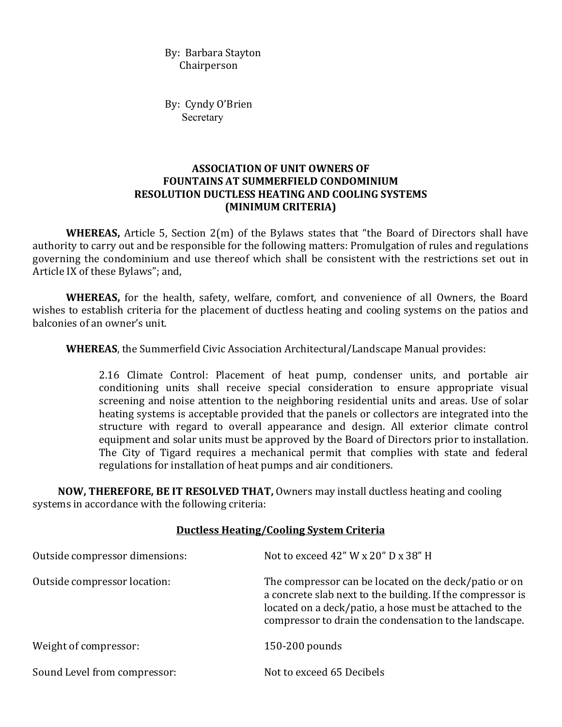By: Barbara Stayton Chairperson

By: Cyndy O'Brien Secretary

## **ASSOCIATION OF UNIT OWNERS OF FOUNTAINS AT SUMMERFIELD CONDOMINIUM RESOLUTION DUCTLESS HEATING AND COOLING SYSTEMS (MINIMUM CRITERIA)**

**WHEREAS,** Article 5, Section 2(m) of the Bylaws states that "the Board of Directors shall have authority to carry out and be responsible for the following matters: Promulgation of rules and regulations governing the condominium and use thereof which shall be consistent with the restrictions set out in Article IX of these Bylaws"; and,

**WHEREAS,** for the health, safety, welfare, comfort, and convenience of all Owners, the Board wishes to establish criteria for the placement of ductless heating and cooling systems on the patios and balconies of an owner's unit.

**WHEREAS**, the Summerfield Civic Association Architectural/Landscape Manual provides:

2.16 Climate Control: Placement of heat pump, condenser units, and portable air conditioning units shall receive special consideration to ensure appropriate visual screening and noise attention to the neighboring residential units and areas. Use of solar heating systems is acceptable provided that the panels or collectors are integrated into the structure with regard to overall appearance and design. All exterior climate control equipment and solar units must be approved by the Board of Directors prior to installation. The City of Tigard requires a mechanical permit that complies with state and federal regulations for installation of heat pumps and air conditioners.

**NOW, THEREFORE, BE IT RESOLVED THAT,** Owners may install ductless heating and cooling systems in accordance with the following criteria:

## **Ductless Heating/Cooling System Criteria**

| Outside compressor dimensions: | Not to exceed 42" W x 20" D x 38" H                                                                                                                                                                                                      |
|--------------------------------|------------------------------------------------------------------------------------------------------------------------------------------------------------------------------------------------------------------------------------------|
| Outside compressor location:   | The compressor can be located on the deck/patio or on<br>a concrete slab next to the building. If the compressor is<br>located on a deck/patio, a hose must be attached to the<br>compressor to drain the condensation to the landscape. |
| Weight of compressor:          | $150-200$ pounds                                                                                                                                                                                                                         |
| Sound Level from compressor:   | Not to exceed 65 Decibels                                                                                                                                                                                                                |